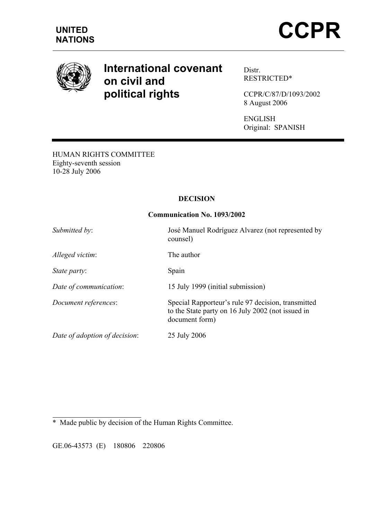

# **International covenant on civil and political rights**

Distr. RESTRICTED\*

CCPR/C/87/D/1093/2002 8 August 2006

ENGLISH Original: SPANISH

HUMAN RIGHTS COMMITTEE Eighty-seventh session 10-28 July 2006

# **DECISION**

# **Communication No. 1093/2002**

| Submitted by:                 | José Manuel Rodríguez Alvarez (not represented by<br>counsel)                                                             |
|-------------------------------|---------------------------------------------------------------------------------------------------------------------------|
| Alleged victim:               | The author                                                                                                                |
| <i>State party:</i>           | Spain                                                                                                                     |
| Date of communication:        | 15 July 1999 (initial submission)                                                                                         |
| Document references:          | Special Rapporteur's rule 97 decision, transmitted<br>to the State party on 16 July 2002 (not issued in<br>document form) |
| Date of adoption of decision: | 25 July 2006                                                                                                              |

l \* Made public by decision of the Human Rights Committee.

GE.06-43573 (E) 180806 220806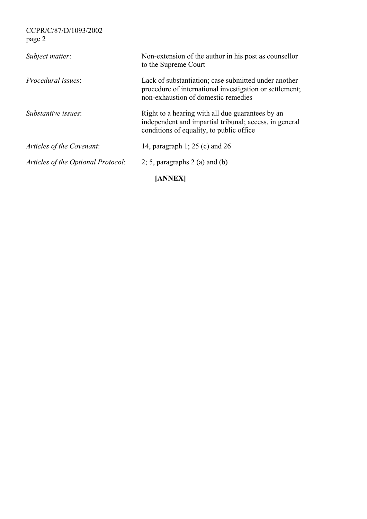| Subject matter:                    | Non-extension of the author in his post as counsellor<br>to the Supreme Court                                                                          |
|------------------------------------|--------------------------------------------------------------------------------------------------------------------------------------------------------|
| <i>Procedural issues:</i>          | Lack of substantiation; case submitted under another<br>procedure of international investigation or settlement;<br>non-exhaustion of domestic remedies |
| Substantive issues:                | Right to a hearing with all due guarantees by an<br>independent and impartial tribunal; access, in general<br>conditions of equality, to public office |
| Articles of the Covenant:          | 14, paragraph 1; 25 (c) and 26                                                                                                                         |
| Articles of the Optional Protocol: | 2; 5, paragraphs $2$ (a) and (b)                                                                                                                       |
|                                    |                                                                                                                                                        |

**[ANNEX]**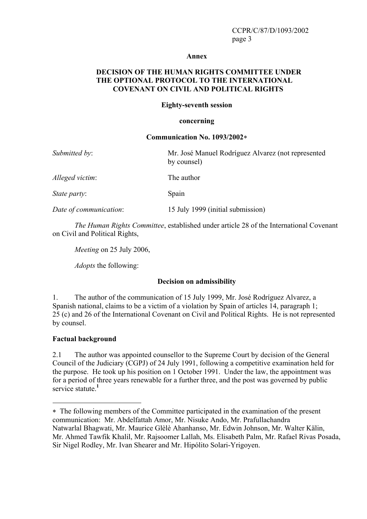#### **Annex**

## **DECISION OF THE HUMAN RIGHTS COMMITTEE UNDER THE OPTIONAL PROTOCOL TO THE INTERNATIONAL COVENANT ON CIVIL AND POLITICAL RIGHTS**

#### **Eighty-seventh session**

#### **concerning**

#### **Communication No. 1093/2002**∗

| Submitted by:          | Mr. José Manuel Rodríguez Alvarez (not represented<br>by counsel) |
|------------------------|-------------------------------------------------------------------|
| Alleged victim:        | The author                                                        |
| <i>State party:</i>    | Spain                                                             |
| Date of communication: | 15 July 1999 (initial submission)                                 |

*The Human Rights Committee*, established under article 28 of the International Covenant on Civil and Political Rights,

*Meeting* on 25 July 2006,

*Adopts* the following:

## **Decision on admissibility**

1. The author of the communication of 15 July 1999, Mr. José Rodríguez Alvarez, a Spanish national, claims to be a victim of a violation by Spain of articles 14, paragraph 1; 25 (c) and 26 of the International Covenant on Civil and Political Rights. He is not represented by counsel.

## **Factual background**

2.1 The author was appointed counsellor to the Supreme Court by decision of the General Council of the Judiciary (CGPJ) of 24 July 1991, following a competitive examination held for the purpose. He took up his position on 1 October 1991. Under the law, the appointment was for a period of three years renewable for a further three, and the post was governed by public service statute.<sup>1</sup>

<sup>∗</sup> The following members of the Committee participated in the examination of the present communication: Mr. Abdelfattah Amor, Mr. Nisuke Ando, Mr. Prafullachandra Natwarlal Bhagwati, Mr. Maurice Glèlè Ahanhanso, Mr. Edwin Johnson, Mr. Walter Kälin, Mr. Ahmed Tawfik Khalil, Mr. Rajsoomer Lallah, Ms. Elisabeth Palm, Mr. Rafael Rivas Posada, Sir Nigel Rodley, Mr. Ivan Shearer and Mr. Hipólito Solari-Yrigoyen.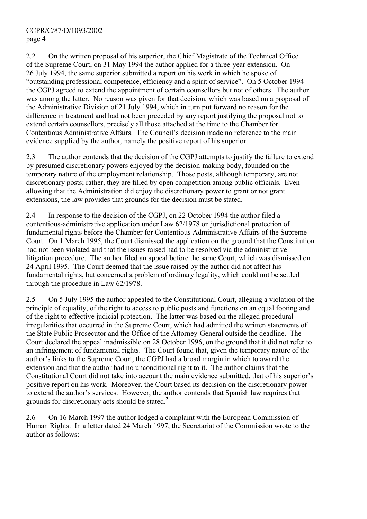2.2 On the written proposal of his superior, the Chief Magistrate of the Technical Office of the Supreme Court, on 31 May 1994 the author applied for a three-year extension. On 26 July 1994, the same superior submitted a report on his work in which he spoke of "outstanding professional competence, efficiency and a spirit of service". On 5 October 1994 the CGPJ agreed to extend the appointment of certain counsellors but not of others. The author was among the latter. No reason was given for that decision, which was based on a proposal of the Administrative Division of 21 July 1994, which in turn put forward no reason for the difference in treatment and had not been preceded by any report justifying the proposal not to extend certain counsellors, precisely all those attached at the time to the Chamber for Contentious Administrative Affairs. The Council's decision made no reference to the main evidence supplied by the author, namely the positive report of his superior.

2.3 The author contends that the decision of the CGPJ attempts to justify the failure to extend by presumed discretionary powers enjoyed by the decision-making body, founded on the temporary nature of the employment relationship. Those posts, although temporary, are not discretionary posts; rather, they are filled by open competition among public officials. Even allowing that the Administration did enjoy the discretionary power to grant or not grant extensions, the law provides that grounds for the decision must be stated.

2.4 In response to the decision of the CGPJ, on 22 October 1994 the author filed a contentious-administrative application under Law 62/1978 on jurisdictional protection of fundamental rights before the Chamber for Contentious Administrative Affairs of the Supreme Court. On 1 March 1995, the Court dismissed the application on the ground that the Constitution had not been violated and that the issues raised had to be resolved via the administrative litigation procedure. The author filed an appeal before the same Court, which was dismissed on 24 April 1995. The Court deemed that the issue raised by the author did not affect his fundamental rights, but concerned a problem of ordinary legality, which could not be settled through the procedure in Law 62/1978.

2.5 On 5 July 1995 the author appealed to the Constitutional Court, alleging a violation of the principle of equality, of the right to access to public posts and functions on an equal footing and of the right to effective judicial protection. The latter was based on the alleged procedural irregularities that occurred in the Supreme Court, which had admitted the written statements of the State Public Prosecutor and the Office of the Attorney-General outside the deadline. The Court declared the appeal inadmissible on 28 October 1996, on the ground that it did not refer to an infringement of fundamental rights. The Court found that, given the temporary nature of the author's links to the Supreme Court, the CGPJ had a broad margin in which to award the extension and that the author had no unconditional right to it. The author claims that the Constitutional Court did not take into account the main evidence submitted, that of his superior's positive report on his work. Moreover, the Court based its decision on the discretionary power to extend the author's services. However, the author contends that Spanish law requires that grounds for discretionary acts should be stated.**<sup>2</sup>**

2.6 On 16 March 1997 the author lodged a complaint with the European Commission of Human Rights. In a letter dated 24 March 1997, the Secretariat of the Commission wrote to the author as follows: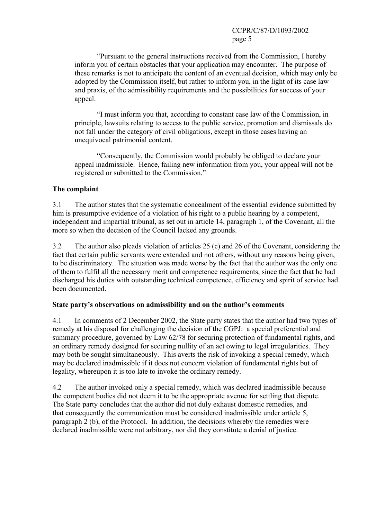"Pursuant to the general instructions received from the Commission, I hereby inform you of certain obstacles that your application may encounter. The purpose of these remarks is not to anticipate the content of an eventual decision, which may only be adopted by the Commission itself, but rather to inform you, in the light of its case law and praxis, of the admissibility requirements and the possibilities for success of your appeal.

 "I must inform you that, according to constant case law of the Commission, in principle, lawsuits relating to access to the public service, promotion and dismissals do not fall under the category of civil obligations, except in those cases having an unequivocal patrimonial content.

 "Consequently, the Commission would probably be obliged to declare your appeal inadmissible. Hence, failing new information from you, your appeal will not be registered or submitted to the Commission."

## **The complaint**

3.1 The author states that the systematic concealment of the essential evidence submitted by him is presumptive evidence of a violation of his right to a public hearing by a competent, independent and impartial tribunal, as set out in article 14, paragraph 1, of the Covenant, all the more so when the decision of the Council lacked any grounds.

3.2 The author also pleads violation of articles 25 (c) and 26 of the Covenant, considering the fact that certain public servants were extended and not others, without any reasons being given, to be discriminatory. The situation was made worse by the fact that the author was the only one of them to fulfil all the necessary merit and competence requirements, since the fact that he had discharged his duties with outstanding technical competence, efficiency and spirit of service had been documented.

## **State party's observations on admissibility and on the author's comments**

4.1 In comments of 2 December 2002, the State party states that the author had two types of remedy at his disposal for challenging the decision of the CGPJ: a special preferential and summary procedure, governed by Law 62/78 for securing protection of fundamental rights, and an ordinary remedy designed for securing nullity of an act owing to legal irregularities. They may both be sought simultaneously. This averts the risk of invoking a special remedy, which may be declared inadmissible if it does not concern violation of fundamental rights but of legality, whereupon it is too late to invoke the ordinary remedy.

4.2 The author invoked only a special remedy, which was declared inadmissible because the competent bodies did not deem it to be the appropriate avenue for settling that dispute. The State party concludes that the author did not duly exhaust domestic remedies, and that consequently the communication must be considered inadmissible under article 5, paragraph 2 (b), of the Protocol. In addition, the decisions whereby the remedies were declared inadmissible were not arbitrary, nor did they constitute a denial of justice.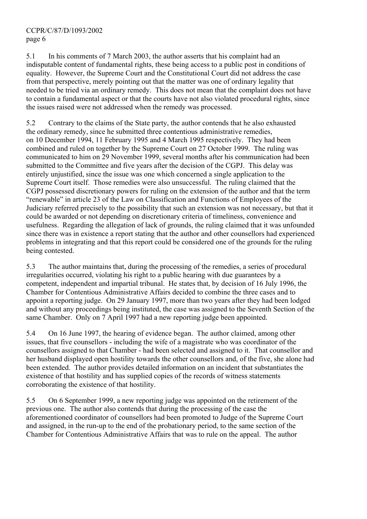5.1 In his comments of 7 March 2003, the author asserts that his complaint had an indisputable content of fundamental rights, these being access to a public post in conditions of equality. However, the Supreme Court and the Constitutional Court did not address the case from that perspective, merely pointing out that the matter was one of ordinary legality that needed to be tried via an ordinary remedy. This does not mean that the complaint does not have to contain a fundamental aspect or that the courts have not also violated procedural rights, since the issues raised were not addressed when the remedy was processed.

5.2 Contrary to the claims of the State party, the author contends that he also exhausted the ordinary remedy, since he submitted three contentious administrative remedies, on 10 December 1994, 11 February 1995 and 4 March 1995 respectively. They had been combined and ruled on together by the Supreme Court on 27 October 1999. The ruling was communicated to him on 29 November 1999, several months after his communication had been submitted to the Committee and five years after the decision of the CGPJ. This delay was entirely unjustified, since the issue was one which concerned a single application to the Supreme Court itself. Those remedies were also unsuccessful. The ruling claimed that the CGPJ possessed discretionary powers for ruling on the extension of the author and that the term "renewable" in article 23 of the Law on Classification and Functions of Employees of the Judiciary referred precisely to the possibility that such an extension was not necessary, but that it could be awarded or not depending on discretionary criteria of timeliness, convenience and usefulness. Regarding the allegation of lack of grounds, the ruling claimed that it was unfounded since there was in existence a report stating that the author and other counsellors had experienced problems in integrating and that this report could be considered one of the grounds for the ruling being contested.

5.3 The author maintains that, during the processing of the remedies, a series of procedural irregularities occurred, violating his right to a public hearing with due guarantees by a competent, independent and impartial tribunal. He states that, by decision of 16 July 1996, the Chamber for Contentious Administrative Affairs decided to combine the three cases and to appoint a reporting judge. On 29 January 1997, more than two years after they had been lodged and without any proceedings being instituted, the case was assigned to the Seventh Section of the same Chamber. Only on 7 April 1997 had a new reporting judge been appointed.

5.4 On 16 June 1997, the hearing of evidence began. The author claimed, among other issues, that five counsellors - including the wife of a magistrate who was coordinator of the counsellors assigned to that Chamber - had been selected and assigned to it. That counsellor and her husband displayed open hostility towards the other counsellors and, of the five, she alone had been extended. The author provides detailed information on an incident that substantiates the existence of that hostility and has supplied copies of the records of witness statements corroborating the existence of that hostility.

5.5 On 6 September 1999, a new reporting judge was appointed on the retirement of the previous one. The author also contends that during the processing of the case the aforementioned coordinator of counsellors had been promoted to Judge of the Supreme Court and assigned, in the run-up to the end of the probationary period, to the same section of the Chamber for Contentious Administrative Affairs that was to rule on the appeal. The author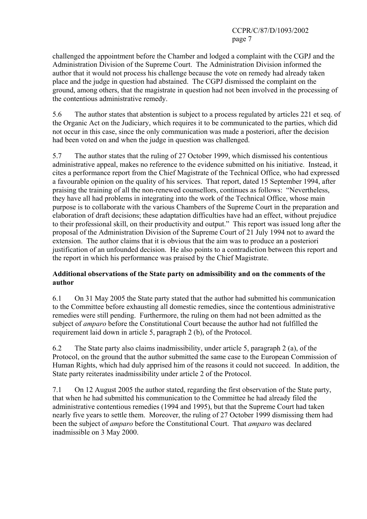challenged the appointment before the Chamber and lodged a complaint with the CGPJ and the Administration Division of the Supreme Court. The Administration Division informed the author that it would not process his challenge because the vote on remedy had already taken place and the judge in question had abstained. The CGPJ dismissed the complaint on the ground, among others, that the magistrate in question had not been involved in the processing of the contentious administrative remedy.

5.6 The author states that abstention is subject to a process regulated by articles 221 et seq. of the Organic Act on the Judiciary, which requires it to be communicated to the parties, which did not occur in this case, since the only communication was made a posteriori, after the decision had been voted on and when the judge in question was challenged.

5.7 The author states that the ruling of 27 October 1999, which dismissed his contentious administrative appeal, makes no reference to the evidence submitted on his initiative. Instead, it cites a performance report from the Chief Magistrate of the Technical Office, who had expressed a favourable opinion on the quality of his services. That report, dated 15 September 1994, after praising the training of all the non-renewed counsellors, continues as follows: "Nevertheless, they have all had problems in integrating into the work of the Technical Office, whose main purpose is to collaborate with the various Chambers of the Supreme Court in the preparation and elaboration of draft decisions; these adaptation difficulties have had an effect, without prejudice to their professional skill, on their productivity and output." This report was issued long after the proposal of the Administration Division of the Supreme Court of 21 July 1994 not to award the extension. The author claims that it is obvious that the aim was to produce an a posteriori justification of an unfounded decision. He also points to a contradiction between this report and the report in which his performance was praised by the Chief Magistrate.

## **Additional observations of the State party on admissibility and on the comments of the author**

6.1 On 31 May 2005 the State party stated that the author had submitted his communication to the Committee before exhausting all domestic remedies, since the contentious administrative remedies were still pending. Furthermore, the ruling on them had not been admitted as the subject of *amparo* before the Constitutional Court because the author had not fulfilled the requirement laid down in article 5, paragraph 2 (b), of the Protocol.

6.2 The State party also claims inadmissibility, under article 5, paragraph 2 (a), of the Protocol, on the ground that the author submitted the same case to the European Commission of Human Rights, which had duly apprised him of the reasons it could not succeed. In addition, the State party reiterates inadmissibility under article 2 of the Protocol.

7.1 On 12 August 2005 the author stated, regarding the first observation of the State party, that when he had submitted his communication to the Committee he had already filed the administrative contentious remedies (1994 and 1995), but that the Supreme Court had taken nearly five years to settle them. Moreover, the ruling of 27 October 1999 dismissing them had been the subject of *amparo* before the Constitutional Court. That *amparo* was declared inadmissible on 3 May 2000.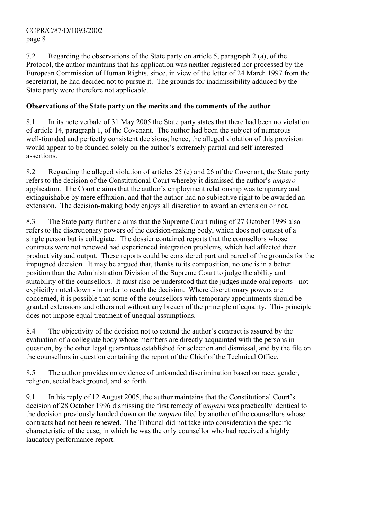7.2 Regarding the observations of the State party on article 5, paragraph 2 (a), of the Protocol, the author maintains that his application was neither registered nor processed by the European Commission of Human Rights, since, in view of the letter of 24 March 1997 from the secretariat, he had decided not to pursue it. The grounds for inadmissibility adduced by the State party were therefore not applicable.

# **Observations of the State party on the merits and the comments of the author**

8.1 In its note verbale of 31 May 2005 the State party states that there had been no violation of article 14, paragraph 1, of the Covenant. The author had been the subject of numerous well-founded and perfectly consistent decisions; hence, the alleged violation of this provision would appear to be founded solely on the author's extremely partial and self-interested assertions.

8.2 Regarding the alleged violation of articles 25 (c) and 26 of the Covenant, the State party refers to the decision of the Constitutional Court whereby it dismissed the author's *amparo* application. The Court claims that the author's employment relationship was temporary and extinguishable by mere effluxion, and that the author had no subjective right to be awarded an extension. The decision-making body enjoys all discretion to award an extension or not.

8.3 The State party further claims that the Supreme Court ruling of 27 October 1999 also refers to the discretionary powers of the decision-making body, which does not consist of a single person but is collegiate. The dossier contained reports that the counsellors whose contracts were not renewed had experienced integration problems, which had affected their productivity and output. These reports could be considered part and parcel of the grounds for the impugned decision. It may be argued that, thanks to its composition, no one is in a better position than the Administration Division of the Supreme Court to judge the ability and suitability of the counsellors. It must also be understood that the judges made oral reports - not explicitly noted down - in order to reach the decision. Where discretionary powers are concerned, it is possible that some of the counsellors with temporary appointments should be granted extensions and others not without any breach of the principle of equality. This principle does not impose equal treatment of unequal assumptions.

8.4 The objectivity of the decision not to extend the author's contract is assured by the evaluation of a collegiate body whose members are directly acquainted with the persons in question, by the other legal guarantees established for selection and dismissal, and by the file on the counsellors in question containing the report of the Chief of the Technical Office.

8.5 The author provides no evidence of unfounded discrimination based on race, gender, religion, social background, and so forth.

9.1 In his reply of 12 August 2005, the author maintains that the Constitutional Court's decision of 28 October 1996 dismissing the first remedy of *amparo* was practically identical to the decision previously handed down on the *amparo* filed by another of the counsellors whose contracts had not been renewed. The Tribunal did not take into consideration the specific characteristic of the case, in which he was the only counsellor who had received a highly laudatory performance report.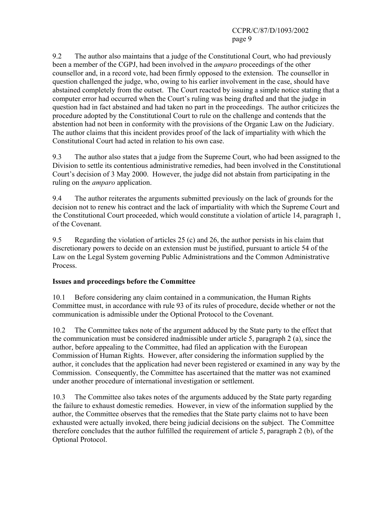9.2 The author also maintains that a judge of the Constitutional Court, who had previously been a member of the CGPJ, had been involved in the *amparo* proceedings of the other counsellor and, in a record vote, had been firmly opposed to the extension. The counsellor in question challenged the judge, who, owing to his earlier involvement in the case, should have abstained completely from the outset. The Court reacted by issuing a simple notice stating that a computer error had occurred when the Court's ruling was being drafted and that the judge in question had in fact abstained and had taken no part in the proceedings. The author criticizes the procedure adopted by the Constitutional Court to rule on the challenge and contends that the abstention had not been in conformity with the provisions of the Organic Law on the Judiciary. The author claims that this incident provides proof of the lack of impartiality with which the Constitutional Court had acted in relation to his own case.

9.3 The author also states that a judge from the Supreme Court, who had been assigned to the Division to settle its contentious administrative remedies, had been involved in the Constitutional Court's decision of 3 May 2000. However, the judge did not abstain from participating in the ruling on the *amparo* application.

9.4 The author reiterates the arguments submitted previously on the lack of grounds for the decision not to renew his contract and the lack of impartiality with which the Supreme Court and the Constitutional Court proceeded, which would constitute a violation of article 14, paragraph 1, of the Covenant.

9.5 Regarding the violation of articles 25 (c) and 26, the author persists in his claim that discretionary powers to decide on an extension must be justified, pursuant to article 54 of the Law on the Legal System governing Public Administrations and the Common Administrative Process.

# **Issues and proceedings before the Committee**

10.1 Before considering any claim contained in a communication, the Human Rights Committee must, in accordance with rule 93 of its rules of procedure, decide whether or not the communication is admissible under the Optional Protocol to the Covenant.

10.2 The Committee takes note of the argument adduced by the State party to the effect that the communication must be considered inadmissible under article 5, paragraph 2 (a), since the author, before appealing to the Committee, had filed an application with the European Commission of Human Rights. However, after considering the information supplied by the author, it concludes that the application had never been registered or examined in any way by the Commission. Consequently, the Committee has ascertained that the matter was not examined under another procedure of international investigation or settlement.

10.3 The Committee also takes notes of the arguments adduced by the State party regarding the failure to exhaust domestic remedies. However, in view of the information supplied by the author, the Committee observes that the remedies that the State party claims not to have been exhausted were actually invoked, there being judicial decisions on the subject. The Committee therefore concludes that the author fulfilled the requirement of article 5, paragraph 2 (b), of the Optional Protocol.